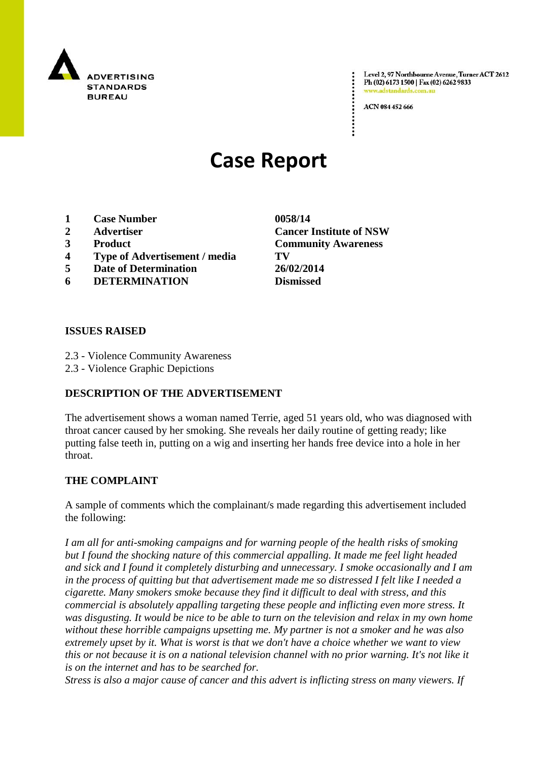

Level 2, 97 Northbourne Avenue, Turner ACT 2612 Ph (02) 6173 1500 | Fax (02) 6262 9833 .adstandards.c

ACN 084 452 666

# **Case Report**

- **1 Case Number 0058/14**
- 
- 
- **4 Type of Advertisement / media TV**
- **5 Date of Determination 26/02/2014**
- **6 DETERMINATION Dismissed**

**2 Advertiser Cancer Institute of NSW 3 Product Community Awareness**

### **ISSUES RAISED**

- 2.3 Violence Community Awareness
- 2.3 Violence Graphic Depictions

## **DESCRIPTION OF THE ADVERTISEMENT**

The advertisement shows a woman named Terrie, aged 51 years old, who was diagnosed with throat cancer caused by her smoking. She reveals her daily routine of getting ready; like putting false teeth in, putting on a wig and inserting her hands free device into a hole in her throat.

#### **THE COMPLAINT**

A sample of comments which the complainant/s made regarding this advertisement included the following:

*I am all for anti-smoking campaigns and for warning people of the health risks of smoking but I found the shocking nature of this commercial appalling. It made me feel light headed and sick and I found it completely disturbing and unnecessary. I smoke occasionally and I am in the process of quitting but that advertisement made me so distressed I felt like I needed a cigarette. Many smokers smoke because they find it difficult to deal with stress, and this commercial is absolutely appalling targeting these people and inflicting even more stress. It was disgusting. It would be nice to be able to turn on the television and relax in my own home without these horrible campaigns upsetting me. My partner is not a smoker and he was also extremely upset by it. What is worst is that we don't have a choice whether we want to view this or not because it is on a national television channel with no prior warning. It's not like it is on the internet and has to be searched for.*

*Stress is also a major cause of cancer and this advert is inflicting stress on many viewers. If*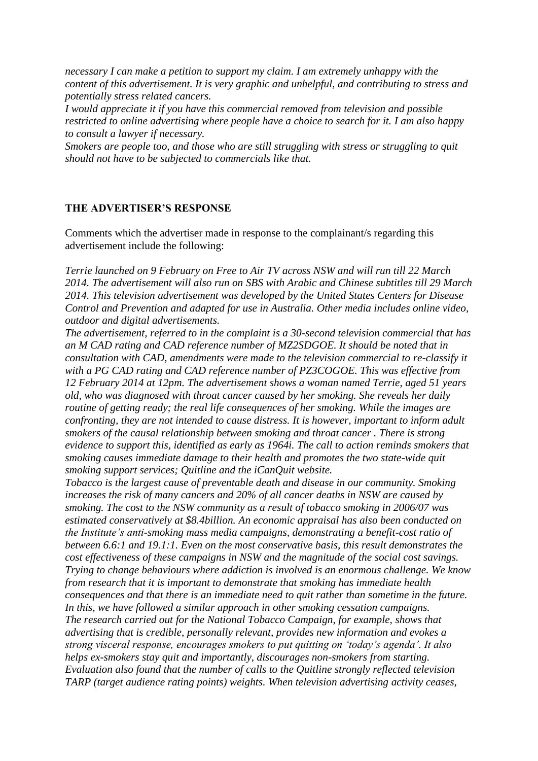*necessary I can make a petition to support my claim. I am extremely unhappy with the content of this advertisement. It is very graphic and unhelpful, and contributing to stress and potentially stress related cancers.*

*I would appreciate it if you have this commercial removed from television and possible restricted to online advertising where people have a choice to search for it. I am also happy to consult a lawyer if necessary.*

*Smokers are people too, and those who are still struggling with stress or struggling to quit should not have to be subjected to commercials like that.*

#### **THE ADVERTISER'S RESPONSE**

Comments which the advertiser made in response to the complainant/s regarding this advertisement include the following:

*Terrie launched on 9 February on Free to Air TV across NSW and will run till 22 March 2014. The advertisement will also run on SBS with Arabic and Chinese subtitles till 29 March 2014. This television advertisement was developed by the United States Centers for Disease Control and Prevention and adapted for use in Australia. Other media includes online video, outdoor and digital advertisements.*

*The advertisement, referred to in the complaint is a 30-second television commercial that has an M CAD rating and CAD reference number of MZ2SDGOE. It should be noted that in consultation with CAD, amendments were made to the television commercial to re-classify it with a PG CAD rating and CAD reference number of PZ3COGOE. This was effective from 12 February 2014 at 12pm. The advertisement shows a woman named Terrie, aged 51 years old, who was diagnosed with throat cancer caused by her smoking. She reveals her daily routine of getting ready; the real life consequences of her smoking. While the images are confronting, they are not intended to cause distress. It is however, important to inform adult smokers of the causal relationship between smoking and throat cancer . There is strong evidence to support this, identified as early as 1964i. The call to action reminds smokers that smoking causes immediate damage to their health and promotes the two state-wide quit smoking support services; Quitline and the iCanQuit website.*

*Tobacco is the largest cause of preventable death and disease in our community. Smoking increases the risk of many cancers and 20% of all cancer deaths in NSW are caused by smoking. The cost to the NSW community as a result of tobacco smoking in 2006/07 was estimated conservatively at \$8.4billion. An economic appraisal has also been conducted on the Institute's anti-smoking mass media campaigns, demonstrating a benefit-cost ratio of between 6.6:1 and 19.1:1. Even on the most conservative basis, this result demonstrates the cost effectiveness of these campaigns in NSW and the magnitude of the social cost savings. Trying to change behaviours where addiction is involved is an enormous challenge. We know from research that it is important to demonstrate that smoking has immediate health consequences and that there is an immediate need to quit rather than sometime in the future. In this, we have followed a similar approach in other smoking cessation campaigns. The research carried out for the National Tobacco Campaign, for example, shows that advertising that is credible, personally relevant, provides new information and evokes a strong visceral response, encourages smokers to put quitting on 'today's agenda'. It also helps ex-smokers stay quit and importantly, discourages non-smokers from starting. Evaluation also found that the number of calls to the Quitline strongly reflected television TARP (target audience rating points) weights. When television advertising activity ceases,*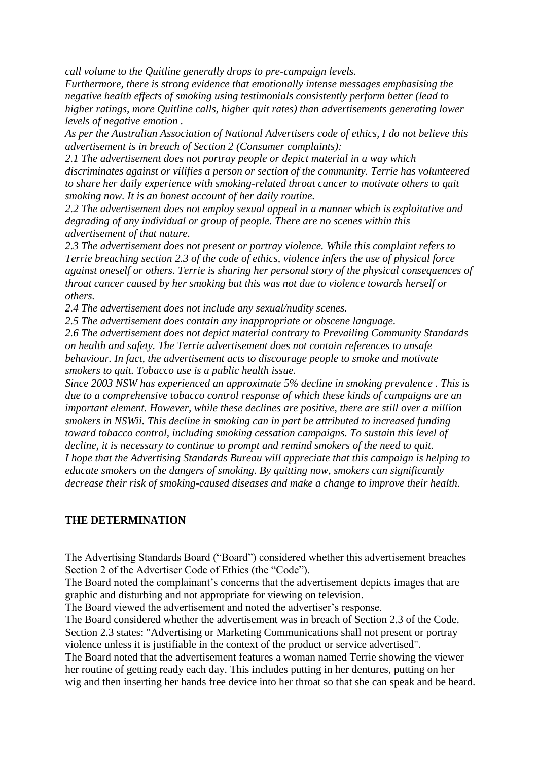*call volume to the Quitline generally drops to pre-campaign levels.*

*Furthermore, there is strong evidence that emotionally intense messages emphasising the negative health effects of smoking using testimonials consistently perform better (lead to higher ratings, more Quitline calls, higher quit rates) than advertisements generating lower levels of negative emotion .*

*As per the Australian Association of National Advertisers code of ethics, I do not believe this advertisement is in breach of Section 2 (Consumer complaints):*

*2.1 The advertisement does not portray people or depict material in a way which discriminates against or vilifies a person or section of the community. Terrie has volunteered to share her daily experience with smoking-related throat cancer to motivate others to quit smoking now. It is an honest account of her daily routine.*

*2.2 The advertisement does not employ sexual appeal in a manner which is exploitative and degrading of any individual or group of people. There are no scenes within this advertisement of that nature.*

*2.3 The advertisement does not present or portray violence. While this complaint refers to Terrie breaching section 2.3 of the code of ethics, violence infers the use of physical force against oneself or others. Terrie is sharing her personal story of the physical consequences of throat cancer caused by her smoking but this was not due to violence towards herself or others.*

*2.4 The advertisement does not include any sexual/nudity scenes.*

*2.5 The advertisement does contain any inappropriate or obscene language.*

*2.6 The advertisement does not depict material contrary to Prevailing Community Standards on health and safety. The Terrie advertisement does not contain references to unsafe behaviour. In fact, the advertisement acts to discourage people to smoke and motivate smokers to quit. Tobacco use is a public health issue.*

*Since 2003 NSW has experienced an approximate 5% decline in smoking prevalence . This is due to a comprehensive tobacco control response of which these kinds of campaigns are an important element. However, while these declines are positive, there are still over a million smokers in NSWii. This decline in smoking can in part be attributed to increased funding toward tobacco control, including smoking cessation campaigns. To sustain this level of decline, it is necessary to continue to prompt and remind smokers of the need to quit. I hope that the Advertising Standards Bureau will appreciate that this campaign is helping to educate smokers on the dangers of smoking. By quitting now, smokers can significantly decrease their risk of smoking-caused diseases and make a change to improve their health.*

## **THE DETERMINATION**

The Advertising Standards Board ("Board") considered whether this advertisement breaches Section 2 of the Advertiser Code of Ethics (the "Code").

The Board noted the complainant"s concerns that the advertisement depicts images that are graphic and disturbing and not appropriate for viewing on television.

The Board viewed the advertisement and noted the advertiser"s response.

The Board considered whether the advertisement was in breach of Section 2.3 of the Code. Section 2.3 states: "Advertising or Marketing Communications shall not present or portray violence unless it is justifiable in the context of the product or service advertised".

The Board noted that the advertisement features a woman named Terrie showing the viewer her routine of getting ready each day. This includes putting in her dentures, putting on her wig and then inserting her hands free device into her throat so that she can speak and be heard.